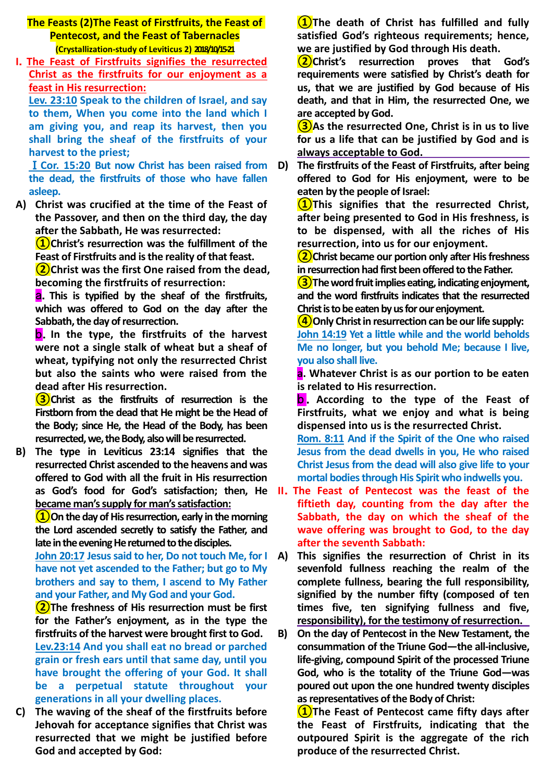**The Feasts (2)The Feast of Firstfruits, the Feast of Pentecost, and the Feast of Tabernacles (Crystallization-study of Leviticus 2) 2018/10/15-21**

**I**.**The Feast of Firstfruits signifies the resurrected Christ as the firstfruits for our enjoyment as a feast in His resurrection:**

**Lev. 23:10 Speak to the children of Israel, and say to them, When you come into the land which I am giving you, and reap its harvest, then you shall bring the sheaf of the firstfruits of your harvest to the priest;**

Ⅰ**Cor. 15:20 But now Christ has been raised from the dead, the firstfruits of those who have fallen asleep.**

**A) Christ was crucified at the time of the Feast of the Passover, and then on the third day, the day after the Sabbath, He was resurrected:** 

**①Christ's resurrection was the fulfillment of the Feast of Firstfruits and is the reality of that feast.**

**②Christ was the first One raised from the dead, becoming the firstfruits of resurrection:** 

a.**This is typified by the sheaf of the firstfruits, which was offered to God on the day after the Sabbath, the day of resurrection.**

b.**In the type, the firstfruits of the harvest were not a single stalk of wheat but a sheaf of wheat, typifying not only the resurrected Christ but also the saints who were raised from the dead after His resurrection.** 

**③Christ as the firstfruits of resurrection is the Firstborn from the dead that He might be the Head of the Body; since He, the Head of the Body, has been resurrected, we, the Body, also will be resurrected.**

**B) The type in Leviticus 23:14 signifies that the resurrected Christ ascended to the heavens and was offered to God with all the fruit in His resurrection became man's supply for man's satisfaction:**

**①On the day of His resurrection, early in the morning the Lord ascended secretly to satisfy the Father, and late in the evening He returned to the disciples.**

**John 20:17 Jesus said to her, Do not touch Me, for I have not yet ascended to the Father; but go to My brothers and say to them, I ascend to My Father and your Father, and My God and your God.** 

**②The freshness of His resurrection must be first for the Father's enjoyment, as in the type the firstfruits of the harvest were brought first to God. Lev.23:14 And you shall eat no bread or parched grain or fresh ears until that same day, until you have brought the offering of your God. It shall be a perpetual statute throughout your generations in all your dwelling places.**

**C) The waving of the sheaf of the firstfruits before Jehovah for acceptance signifies that Christ was resurrected that we might be justified before God and accepted by God:** 

**①The death of Christ has fulfilled and fully satisfied God's righteous requirements; hence, we are justified by God through His death.** 

**②Christ's resurrection proves that God's requirements were satisfied by Christ's death for us, that we are justified by God because of His death, and that in Him, the resurrected One, we are accepted by God.**

**③As the resurrected One, Christ is in us to live for us a life that can be justified by God and is always acceptable to God.** 

**D) The firstfruits of the Feast of Firstfruits, after being offered to God for His enjoyment, were to be eaten by the people of Israel:**

**①This signifies that the resurrected Christ, after being presented to God in His freshness, is to be dispensed, with all the riches of His resurrection, into us for our enjoyment.** 

**②Christ became our portion only after His freshness in resurrection had first been offered to the Father.**

**③The word fruit implies eating, indicating enjoyment, and the word firstfruits indicates that the resurrected Christ is to be eaten by us for our enjoyment.**

**④Only Christ in resurrection can be our life supply: John 14:19 Yet a little while and the world beholds Me no longer, but you behold Me; because I live, you also shall live.**

**a. Whatever Christ is as our portion to be eaten is related to His resurrection.** 

**b**. According to the type of the Feast of **Firstfruits, what we enjoy and what is being dispensed into us is the resurrected Christ.**

**Rom. 8:11 And if the Spirit of the One who raised Jesus from the dead dwells in you, He who raised Christ Jesus from the dead will also give life to your mortal bodies through His Spirit who indwells you.**

- **as God's food for God's satisfaction; then, He II**.**The Feast of Pentecost was the feast of the fiftieth day, counting from the day after the Sabbath, the day on which the sheaf of the wave offering was brought to God, to the day after the seventh Sabbath:** 
	- **A) This signifies the resurrection of Christ in its sevenfold fullness reaching the realm of the complete fullness, bearing the full responsibility, signified by the number fifty (composed of ten times five, ten signifying fullness and five, responsibility), for the testimony of resurrection.**
	- **B) On the day of Pentecost in the New Testament, the consummation of the Triune God—the all-inclusive, life-giving, compound Spirit of the processed Triune God, who is the totality of the Triune God—was poured out upon the one hundred twenty disciples as representatives of the Body of Christ:**

**①The Feast of Pentecost came fifty days after the Feast of Firstfruits, indicating that the outpoured Spirit is the aggregate of the rich produce of the resurrected Christ.**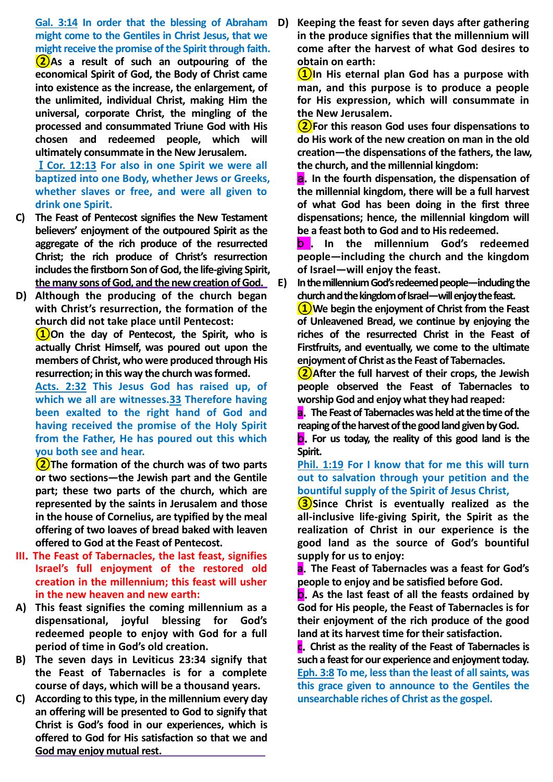**Gal. 3:14 In order that the blessing of Abraham might come to the Gentiles in Christ Jesus, that we might receive the promise of the Spirit through faith.**

**②As a result of such an outpouring of the economical Spirit of God, the Body of Christ came into existence as the increase, the enlargement, of the unlimited, individual Christ, making Him the universal, corporate Christ, the mingling of the processed and consummated Triune God with His chosen and redeemed people, which will ultimately consummate in the New Jerusalem.**

Ⅰ**Cor. 12:13 For also in one Spirit we were all baptized into one Body, whether Jews or Greeks, whether slaves or free, and were all given to drink one Spirit.**

- **C) The Feast of Pentecost signifies the New Testament believers' enjoyment of the outpoured Spirit as the aggregate of the rich produce of the resurrected Christ; the rich produce of Christ's resurrection includes the firstborn Son of God, the life-giving Spirit, the many sons of God, and the new creation of God.**
- **D) Although the producing of the church began with Christ's resurrection, the formation of the church did not take place until Pentecost:**

**①On the day of Pentecost, the Spirit, who is actually Christ Himself, was poured out upon the members of Christ, who were produced through His resurrection; in this way the church was formed.**

**Acts. 2:32 This Jesus God has raised up, of which we all are witnesses.33 Therefore having been exalted to the right hand of God and having received the promise of the Holy Spirit from the Father, He has poured out this which you both see and hear.**

**②The formation of the church was of two parts or two sections—the Jewish part and the Gentile part; these two parts of the church, which are represented by the saints in Jerusalem and those in the house of Cornelius, are typified by the meal offering of two loaves of bread baked with leaven offered to God at the Feast of Pentecost.**

- **III**.**The Feast of Tabernacles, the last feast, signifies Israel's full enjoyment of the restored old creation in the millennium; this feast will usher in the new heaven and new earth:**
- **A) This feast signifies the coming millennium as a dispensational, joyful blessing for God's redeemed people to enjoy with God for a full period of time in God's old creation.**
- **B) The seven days in Leviticus 23:34 signify that the Feast of Tabernacles is for a complete course of days, which will be a thousand years.**
- **C) According to this type, in the millennium every day an offering will be presented to God to signify that Christ is God's food in our experiences, which is offered to God for His satisfaction so that we and God may enjoy mutual rest.**

**D) Keeping the feast for seven days after gathering in the produce signifies that the millennium will come after the harvest of what God desires to obtain on earth:** 

**①In His eternal plan God has a purpose with man, and this purpose is to produce a people for His expression, which will consummate in the New Jerusalem.** 

**②For this reason God uses four dispensations to do His work of the new creation on man in the old creation—the dispensations of the fathers, the law, the church, and the millennial kingdom:** 

a.**In the fourth dispensation, the dispensation of the millennial kingdom, there will be a full harvest of what God has been doing in the first three dispensations; hence, the millennial kingdom will be a feast both to God and to His redeemed.**

b . **In the millennium God's redeemed people—including the church and the kingdom of Israel—will enjoy the feast.**

**E) In the millennium God's redeemed people—including the church and the kingdom of Israel—will enjoy the feast.**

**①We begin the enjoyment of Christ from the Feast of Unleavened Bread, we continue by enjoying the riches of the resurrected Christ in the Feast of Firstfruits, and eventually, we come to the ultimate enjoyment of Christ as the Feast of Tabernacles.**

**②After the full harvest of their crops, the Jewish people observed the Feast of Tabernacles to worship God and enjoy what they had reaped:**

**a**.**The Feast of Tabernacles was held at the time of the reaping of the harvest of the good land given by God.**

b.**For us today, the reality of this good land is the Spirit.**

# **Phil. 1:19 For I know that for me this will turn out to salvation through your petition and the bountiful supply of the Spirit of Jesus Christ,**

**③Since Christ is eventually realized as the all-inclusive life-giving Spirit, the Spirit as the realization of Christ in our experience is the good land as the source of God's bountiful supply for us to enjoy:** 

**a**.**The Feast of Tabernacles was a feast for God's people to enjoy and be satisfied before God.**

b.**As the last feast of all the feasts ordained by God for His people, the Feast of Tabernacles is for their enjoyment of the rich produce of the good land at its harvest time for their satisfaction.**

**c**.**Christ as the reality of the Feast of Tabernacles is such a feast for our experience and enjoyment today. Eph. 3:8 To me, less than the least of all saints, was this grace given to announce to the Gentiles the unsearchable riches of Christ as the gospel.**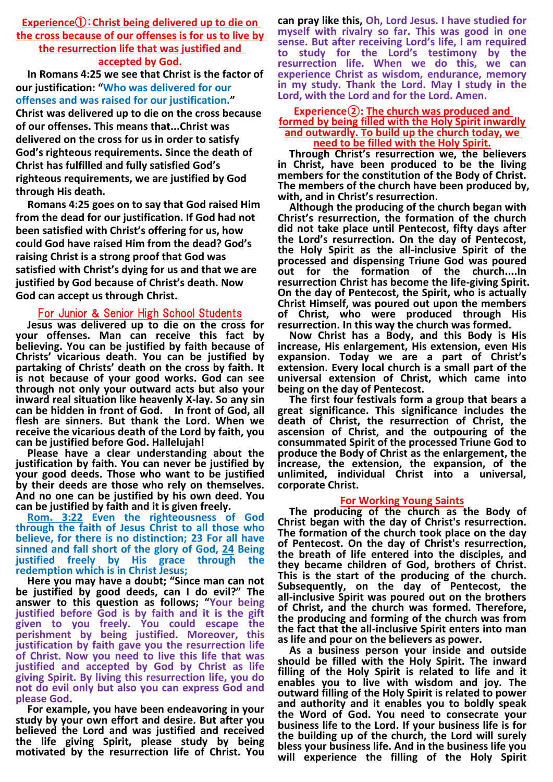**Experience**①:**Christ being delivered up to die on the cross because of our offenses is for us to live by the resurrection life that was justified and** 

# **accepted by God.**

**In Romans 4:25 we see that Christ is the factor of our justification: "Who was delivered for our offenses and was raised for our justification."**

**Christ was delivered up to die on the cross because of our offenses. This means that...Christ was delivered on the cross for us in order to satisfy God's righteous requirements. Since the death of Christ has fulfilled and fully satisfied God's righteous requirements, we are justified by God through His death.** 

**Romans 4:25 goes on to say that God raised Him from the dead for our justification. If God had not been satisfied with Christ's offering for us, how could God have raised Him from the dead? God's raising Christ is a strong proof that God was satisfied with Christ's dying for us and that we are justified by God because of Christ's death. Now God can accept us through Christ.** 

# For Junior & Senior High School Students

**Jesus was delivered up to die on the cross for your offenses. Man can receive this fact by believing. You can be justified by faith because of Christs' vicarious death. You can be justified by partaking of Christs' death on the cross by faith. It is not because of your good works. God can see through not only your outward acts but also your inward real situation like heavenly X-lay. So any sin can be hidden in front of God. In front of God, all flesh are sinners. But thank the Lord. When we receive the vicarious death of the Lord by faith, you can be justified before God. Hallelujah!** 

**Please have a clear understanding about the justification by faith. You can never be justified by your good deeds. Those who want to be justified by their deeds are those who rely on themselves. And no one can be justified by his own deed. You can be justified by faith and it is given freely.** 

**Rom. 3:22 Even the righteousness of God through the faith of Jesus Christ to all those who believe, for there is no distinction; 23 For all have sinned and fall short of the glory of God, 24 Being justified freely by His grace through the redemption which is in Christ Jesus;** 

**Here you may have a doubt; "Since man can not be justified by good deeds, can I do evil?" The answer to this question as follows; "Your being justified before God is by faith and it is the gift given to you freely. You could escape the perishment by being justified. Moreover, this justification by faith gave you the resurrection life of Christ. Now you need to live this life that was justified and accepted by God by Christ as life giving Spirit. By living this resurrection life, you do not do evil only but also you can express God and please God.**

**For example, you have been endeavoring in your study by your own effort and desire. But after you believed the Lord and was justified and received the life giving Spirit, please study by being motivated by the resurrection life of Christ. You** 

**can pray like this, Oh, Lord Jesus. I have studied for myself with rivalry so far. This was good in one sense. But after receiving Lord's life, I am required to study for the Lord's testimony by the resurrection life. When we do this, we can experience Christ as wisdom, endurance, memory in my study. Thank the Lord. May I study in the Lord, with the Lord and for the Lord. Amen.**

#### **Experience②: The church was produced and formed by being filled with the Holy Spirit inwardly and outwardly. To build up the church today, we need to be filled with the Holy Spirit.**

**Through Christ's resurrection we, the believers in Christ, have been produced to be the living members for the constitution of the Body of Christ. The members of the church have been produced by, with, and in Christ's resurrection.**

**Although the producing of the church began with Christ's resurrection, the formation of the church did not take place until Pentecost, fifty days after the Lord's resurrection. On the day of Pentecost, the Holy Spirit as the all-inclusive Spirit of the processed and dispensing Triune God was poured out for the formation of the church....In resurrection Christ has become the life-giving Spirit. On the day of Pentecost, the Spirit, who is actually Christ Himself, was poured out upon the members of Christ, who were produced through His resurrection. In this way the church was formed.**

**Now Christ has a Body, and this Body is His increase, His enlargement, His extension, even His expansion. Today we are a part of Christ's extension. Every local church is a small part of the universal extension of Christ, which came into being on the day of Pentecost.** 

**The first four festivals form a group that bears a great significance. This significance includes the death of Christ, the resurrection of Christ, the ascension of Christ, and the outpouring of the consummated Spirit of the processed Triune God to produce the Body of Christ as the enlargement, the increase, the extension, the expansion, of the unlimited, individual Christ into a universal, corporate Christ.**

### **For Working Young Saints**

**The producing of the church as the Body of Christ began with the day of Christ's resurrection. The formation of the church took place on the day of Pentecost. On the day of Christ's resurrection, the breath of life entered into the disciples, and they became children of God, brothers of Christ. This is the start of the producing of the church. Subsequently, on the day of Pentecost, the all-inclusive Spirit was poured out on the brothers of Christ, and the church was formed. Therefore, the producing and forming of the church was from the fact that the all-inclusive Spirit enters into man as life and pour on the believers as power.**

**As a business person your inside and outside should be filled with the Holy Spirit. The inward filling of the Holy Spirit is related to life and it enables you to live with wisdom and joy. The outward filling of the Holy Spirit is related to power and authority and it enables you to boldly speak the Word of God. You need to consecrate your business life to the Lord. If your business life is for the building up of the church, the Lord will surely bless your business life. And in the business life you will experience the filling of the Holy Spirit**